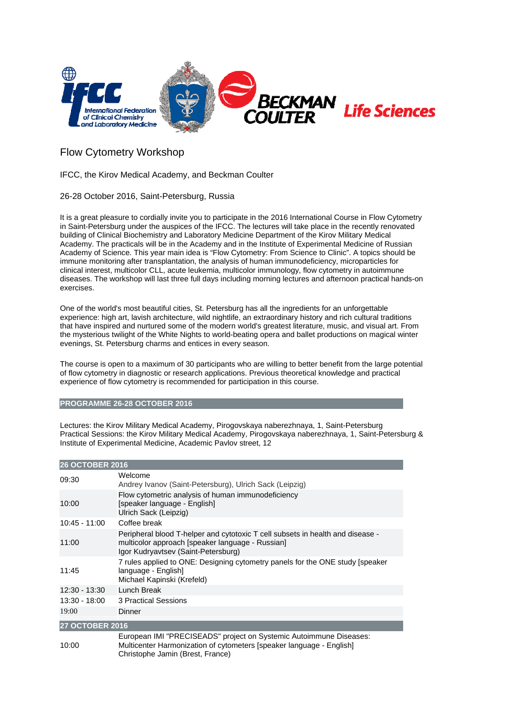

## Flow Cytometry Workshop

## IFCC, the Kirov Medical Academy, and Beckman Coulter

## 26-28 October 2016, Saint-Petersburg, Russia

It is a great pleasure to cordially invite you to participate in the 2016 International Course in Flow Cytometry in Saint-Petersburg under the auspices of the IFCC. The lectures will take place in the recently renovated building of Clinical Biochemistry and Laboratory Medicine Department of the Kirov Military Medical Academy. The practicals will be in the Academy and in the Institute of Experimental Medicine of Russian Academy of Science. This year main idea is "Flow Cytometry: From Science to Clinic". A topics should be immune monitoring after transplantation, the analysis of human immunodeficiency, microparticles for clinical interest, multicolor CLL, acute leukemia, multicolor immunology, flow cytometry in autoimmune diseases. The workshop will last three full days including morning lectures and afternoon practical hands-on exercises.

One of the world's most beautiful cities, St. Petersburg has all the ingredients for an unforgettable experience: high art, lavish architecture, wild nightlife, an extraordinary history and rich cultural traditions that have inspired and nurtured some of the modern world's greatest literature, music, and visual art. From the mysterious twilight of the White Nights to world-beating opera and ballet productions on magical winter evenings, St. Petersburg charms and entices in every season.

The course is open to a maximum of 30 participants who are willing to better benefit from the large potential of flow cytometry in diagnostic or research applications. Previous theoretical knowledge and practical experience of flow cytometry is recommended for participation in this course.

## **PROGRAMME 26-28 OCTOBER 2016**

Lectures: the Kirov Military Medical Academy, Pirogovskaya naberezhnaya, 1, Saint-Petersburg Practical Sessions: the Kirov Military Medical Academy, Pirogovskaya naberezhnaya, 1, Saint-Petersburg & Institute of Experimental Medicine, Academic Pavlov street, 12

| <b>26 OCTOBER 2016</b> |                                                                                                                                                                                |
|------------------------|--------------------------------------------------------------------------------------------------------------------------------------------------------------------------------|
| 09:30                  | Welcome<br>Andrey Ivanov (Saint-Petersburg), Ulrich Sack (Leipzig)                                                                                                             |
| 10:00                  | Flow cytometric analysis of human immunodeficiency<br>[speaker language - English]<br>Ulrich Sack (Leipzig)                                                                    |
| $10:45 - 11:00$        | Coffee break                                                                                                                                                                   |
| 11:00                  | Peripheral blood T-helper and cytotoxic T cell subsets in health and disease -<br>multicolor approach [speaker language - Russian]<br>Igor Kudryavtsev (Saint-Petersburg)      |
| 11:45                  | 7 rules applied to ONE: Designing cytometry panels for the ONE study [speaker]<br>language - English]<br>Michael Kapinski (Krefeld)                                            |
| 12:30 - 13:30          | Lunch Break                                                                                                                                                                    |
| $13:30 - 18:00$        | 3 Practical Sessions                                                                                                                                                           |
| 19:00                  | Dinner                                                                                                                                                                         |
| <b>27 OCTOBER 2016</b> |                                                                                                                                                                                |
| 10:00                  | European IMI "PRECISEADS" project on Systemic Autoimmune Diseases:<br>Multicenter Harmonization of cytometers [speaker language - English]<br>Christophe Jamin (Brest, France) |